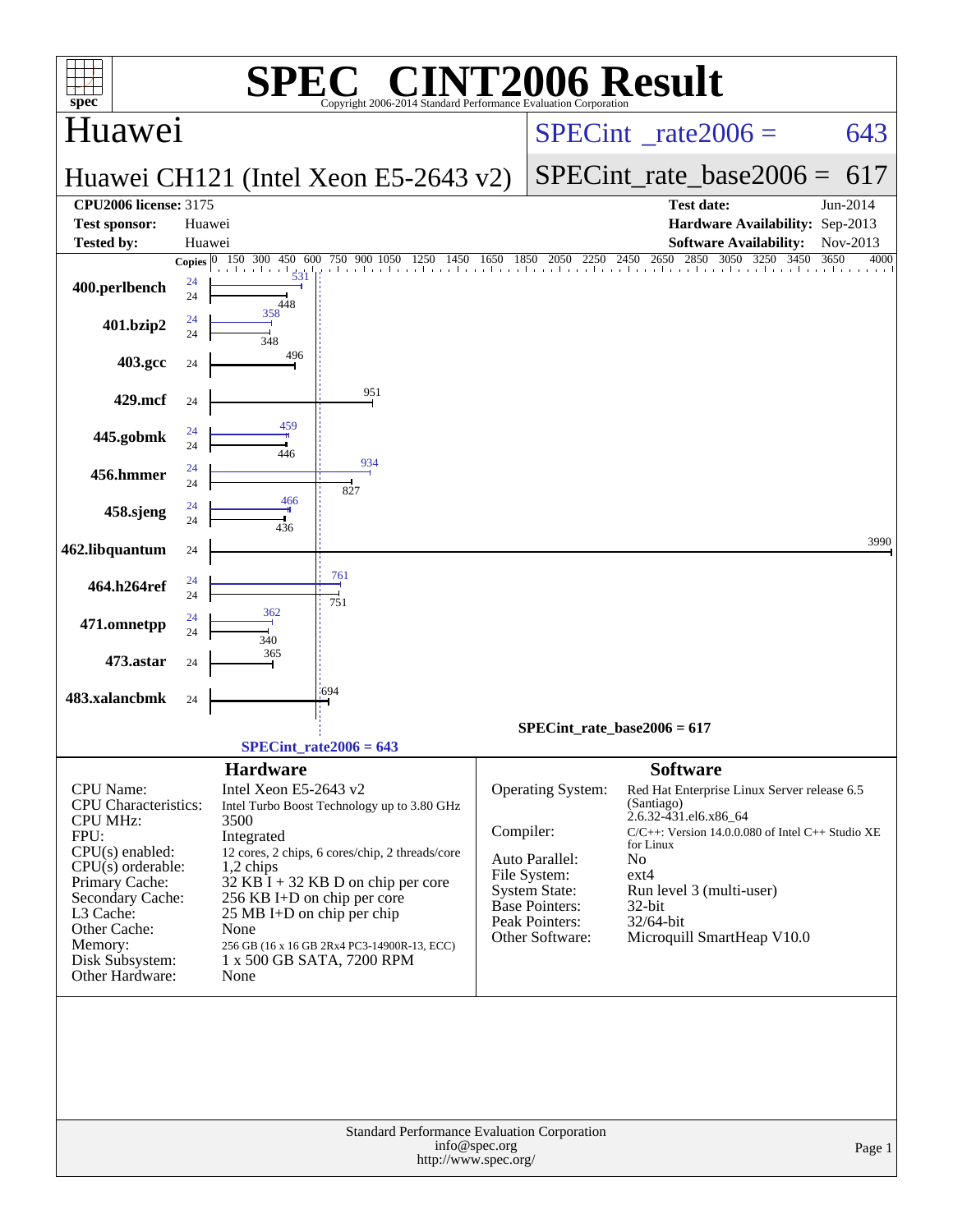| $spec^*$                                             | $\mathbf{P}(\mathbf{R})$<br>Copyright 2006-2014 Standard Performance Evaluation Corporation |                                      | <b>INT2006 Result</b>                                                                                                                                            |        |
|------------------------------------------------------|---------------------------------------------------------------------------------------------|--------------------------------------|------------------------------------------------------------------------------------------------------------------------------------------------------------------|--------|
| Huawei                                               |                                                                                             |                                      | $SPECint^{\circ}$ rate $2006 =$                                                                                                                                  | 643    |
|                                                      | Huawei CH121 (Intel Xeon E5-2643 v2)                                                        |                                      | $SPECint_rate base2006 =$                                                                                                                                        | 617    |
| <b>CPU2006 license: 3175</b><br><b>Test sponsor:</b> | Huawei                                                                                      |                                      | Jun-2014<br><b>Test date:</b><br>Hardware Availability: Sep-2013                                                                                                 |        |
| <b>Tested by:</b>                                    | Huawei                                                                                      |                                      | <b>Software Availability:</b><br>Nov-2013                                                                                                                        |        |
|                                                      | 750 900 1050<br>Copies $ 0 $<br>150 300<br>450 600<br>1250<br>1450<br>$\frac{1}{531}$       | 1650<br>1850                         | 2450 2650 2850 3050 3250<br>2050<br>2250<br>3450<br>3650<br>. 15. 16. 200 x 200 x 3. 16. x 26. x 26. x x 16. x 16. x 26. x x 16. x x 16. x x 16. x x 16. x x 16. | 4000   |
| 400.perlbench                                        | 24<br>24<br>448                                                                             |                                      |                                                                                                                                                                  |        |
| 401.bzip2                                            | 358<br>24<br>24                                                                             |                                      |                                                                                                                                                                  |        |
| 403.gcc                                              | 348<br>496<br>24                                                                            |                                      |                                                                                                                                                                  |        |
| 429.mcf                                              | 951<br>24                                                                                   |                                      |                                                                                                                                                                  |        |
|                                                      | 459<br>24                                                                                   |                                      |                                                                                                                                                                  |        |
| 445.gobmk                                            | 24<br>446<br>934                                                                            |                                      |                                                                                                                                                                  |        |
| 456.hmmer                                            | 24<br>24<br>827                                                                             |                                      |                                                                                                                                                                  |        |
| 458.sjeng                                            | 466<br>24<br>24                                                                             |                                      |                                                                                                                                                                  |        |
| 462.libquantum                                       | 436<br>24                                                                                   |                                      |                                                                                                                                                                  | 3990   |
|                                                      | 761<br>24                                                                                   |                                      |                                                                                                                                                                  |        |
| 464.h264ref                                          | 24<br>751<br>362                                                                            |                                      |                                                                                                                                                                  |        |
| 471.omnetpp                                          | 24<br>24<br>340                                                                             |                                      |                                                                                                                                                                  |        |
| 473.astar                                            | 365<br>24                                                                                   |                                      |                                                                                                                                                                  |        |
| 483.xalancbmk                                        | 1694<br>24                                                                                  |                                      |                                                                                                                                                                  |        |
|                                                      |                                                                                             |                                      | $SPECint_rate_base2006 = 617$                                                                                                                                    |        |
|                                                      | $SPECint_rate2006 = 643$                                                                    |                                      |                                                                                                                                                                  |        |
| CPU Name:                                            | <b>Hardware</b><br>Intel Xeon E5-2643 v2                                                    |                                      | <b>Software</b><br><b>Operating System:</b><br>Red Hat Enterprise Linux Server release 6.5                                                                       |        |
| CPU Characteristics:<br><b>CPU MHz:</b>              | Intel Turbo Boost Technology up to 3.80 GHz<br>3500                                         |                                      | (Santiago)<br>2.6.32-431.el6.x86_64                                                                                                                              |        |
| FPU:                                                 | Integrated                                                                                  | Compiler:                            | $C/C++$ : Version 14.0.0.080 of Intel $C++$ Studio XE<br>for Linux                                                                                               |        |
| $CPU(s)$ enabled:<br>$CPU(s)$ orderable:             | 12 cores, 2 chips, 6 cores/chip, 2 threads/core<br>$1,2$ chips                              | Auto Parallel:                       | No                                                                                                                                                               |        |
| Primary Cache:                                       | $32$ KB I + 32 KB D on chip per core                                                        | File System:<br><b>System State:</b> | $ext{4}$<br>Run level 3 (multi-user)                                                                                                                             |        |
| Secondary Cache:                                     | 256 KB I+D on chip per core                                                                 | Base Pointers:                       | $32$ -bit                                                                                                                                                        |        |
| L3 Cache:<br>Other Cache:                            | 25 MB I+D on chip per chip<br>None                                                          | Peak Pointers:                       | 32/64-bit                                                                                                                                                        |        |
| Memory:                                              | 256 GB (16 x 16 GB 2Rx4 PC3-14900R-13, ECC)                                                 |                                      | Other Software:<br>Microquill SmartHeap V10.0                                                                                                                    |        |
| Disk Subsystem:<br>Other Hardware:                   | 1 x 500 GB SATA, 7200 RPM<br>None                                                           |                                      |                                                                                                                                                                  |        |
|                                                      |                                                                                             |                                      |                                                                                                                                                                  |        |
|                                                      | Standard Performance Evaluation Corporation<br>info@spec.org<br>http://www.spec.org/        |                                      |                                                                                                                                                                  | Page 1 |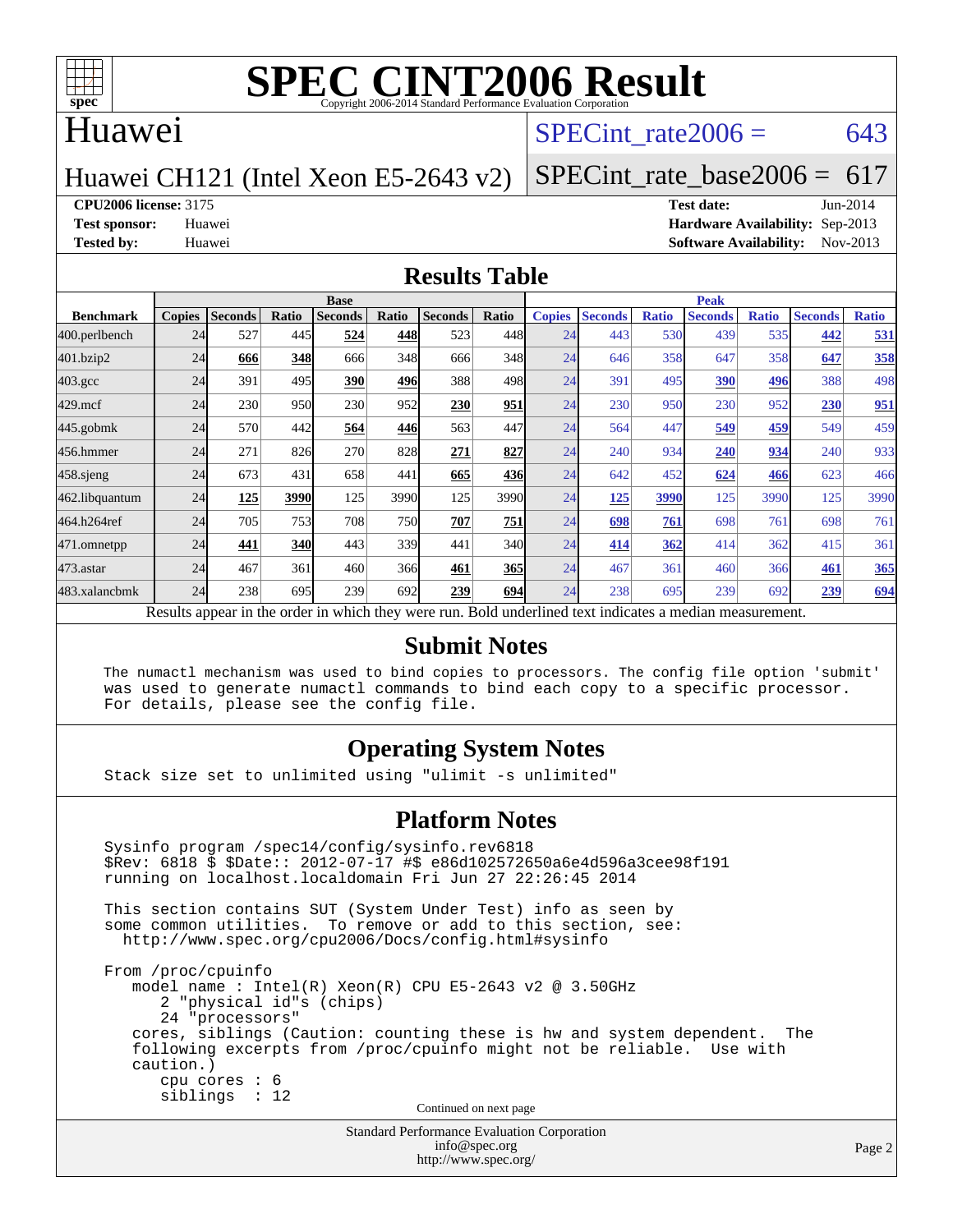

#### Huawei

#### SPECint rate $2006 = 643$

#### Huawei CH121 (Intel Xeon E5-2643 v2)

[SPECint\\_rate\\_base2006 =](http://www.spec.org/auto/cpu2006/Docs/result-fields.html#SPECintratebase2006) 617

**[CPU2006 license:](http://www.spec.org/auto/cpu2006/Docs/result-fields.html#CPU2006license)** 3175 **[Test date:](http://www.spec.org/auto/cpu2006/Docs/result-fields.html#Testdate)** Jun-2014

**[Test sponsor:](http://www.spec.org/auto/cpu2006/Docs/result-fields.html#Testsponsor)** Huawei **[Hardware Availability:](http://www.spec.org/auto/cpu2006/Docs/result-fields.html#HardwareAvailability)** Sep-2013 **[Tested by:](http://www.spec.org/auto/cpu2006/Docs/result-fields.html#Testedby)** Huawei **[Software Availability:](http://www.spec.org/auto/cpu2006/Docs/result-fields.html#SoftwareAvailability)** Nov-2013

#### **[Results Table](http://www.spec.org/auto/cpu2006/Docs/result-fields.html#ResultsTable)**

|                                                                                                          | <b>Base</b>   |                |       |                |            |                | <b>Peak</b> |               |                |              |                |              |                |              |
|----------------------------------------------------------------------------------------------------------|---------------|----------------|-------|----------------|------------|----------------|-------------|---------------|----------------|--------------|----------------|--------------|----------------|--------------|
| <b>Benchmark</b>                                                                                         | <b>Copies</b> | <b>Seconds</b> | Ratio | <b>Seconds</b> | Ratio      | <b>Seconds</b> | Ratio       | <b>Copies</b> | <b>Seconds</b> | <b>Ratio</b> | <b>Seconds</b> | <b>Ratio</b> | <b>Seconds</b> | <b>Ratio</b> |
| 400.perlbench                                                                                            | 24            | 527            | 445   | 524            | 448        | 523            | 448         | 24            | 443            | 530          | 439            | 535          | 442            | 531          |
| 401.bzip2                                                                                                | 24            | 666            | 348   | 666            | 348        | 666            | 348         | 24            | 646            | 358          | 647            | 358          | 647            | 358          |
| $403.\mathrm{gcc}$                                                                                       | 24            | 391            | 495   | 390            | 496        | 388            | 498         | 24            | 391            | 495          | 390            | 496          | 388            | 498          |
| $429$ .mcf                                                                                               | 24            | 230            | 950   | 230            | 952        | 230            | 951         | 24            | 230            | 950          | 230            | 952          | 230            | 951          |
| $445$ .gobmk                                                                                             | 24            | 570            | 442   | 564            | 446        | 563            | 447         | 24            | 564            | 447          | 549            | 459          | 549            | 459          |
| 456.hmmer                                                                                                | 24            | 271            | 826   | 270            | 828        | 271            | 827         | 24            | 240            | 934          | 240            | 934          | 240            | 933          |
| $458$ .sjeng                                                                                             | 24            | 673            | 431   | 658            | 441        | 665            | 436         | 24            | 642            | 452          | 624            | 466          | 623            | 466          |
| 462.libquantum                                                                                           | 24            | 125            | 3990  | 125            | 3990       | 125            | 3990        | 24            | 125            | 3990         | 125            | 3990         | 125            | 3990         |
| 464.h264ref                                                                                              | 24            | 705            | 753   | 708            | <b>750</b> | 707            | 751         | 24            | 698            | 761          | 698            | 761          | 698            | 761          |
| 471.omnetpp                                                                                              | 24            | 441            | 340   | 443            | 339        | 441            | 340         | 24            | 414            | 362          | 414            | 362          | 415            | 361          |
| 473.astar                                                                                                | 24            | 467            | 361   | 460            | 366        | 461            | 365         | 24            | 467            | 361          | 460            | 366          | 461            | 365          |
| 483.xalancbmk                                                                                            | 24            | 238            | 695   | 239            | 692        | 239            | 694         | 24            | 238            | 695          | 239            | 692          | 239            | <u>694</u>   |
| Results appear in the order in which they were run. Bold underlined text indicates a median measurement. |               |                |       |                |            |                |             |               |                |              |                |              |                |              |

#### **[Submit Notes](http://www.spec.org/auto/cpu2006/Docs/result-fields.html#SubmitNotes)**

 The numactl mechanism was used to bind copies to processors. The config file option 'submit' was used to generate numactl commands to bind each copy to a specific processor. For details, please see the config file.

#### **[Operating System Notes](http://www.spec.org/auto/cpu2006/Docs/result-fields.html#OperatingSystemNotes)**

Stack size set to unlimited using "ulimit -s unlimited"

#### **[Platform Notes](http://www.spec.org/auto/cpu2006/Docs/result-fields.html#PlatformNotes)**

```
Standard Performance Evaluation Corporation
 Sysinfo program /spec14/config/sysinfo.rev6818
 $Rev: 6818 $ $Date:: 2012-07-17 #$ e86d102572650a6e4d596a3cee98f191
 running on localhost.localdomain Fri Jun 27 22:26:45 2014
 This section contains SUT (System Under Test) info as seen by
some common utilities. To remove or add to this section, see:
  http://www.spec.org/cpu2006/Docs/config.html#sysinfo
 From /proc/cpuinfo
    model name : Intel(R) Xeon(R) CPU E5-2643 v2 @ 3.50GHz
       2 "physical id"s (chips)
       24 "processors"
    cores, siblings (Caution: counting these is hw and system dependent. The
    following excerpts from /proc/cpuinfo might not be reliable. Use with
    caution.)
       cpu cores : 6
       siblings : 12
                                   Continued on next page
```
[info@spec.org](mailto:info@spec.org) <http://www.spec.org/>

Page 2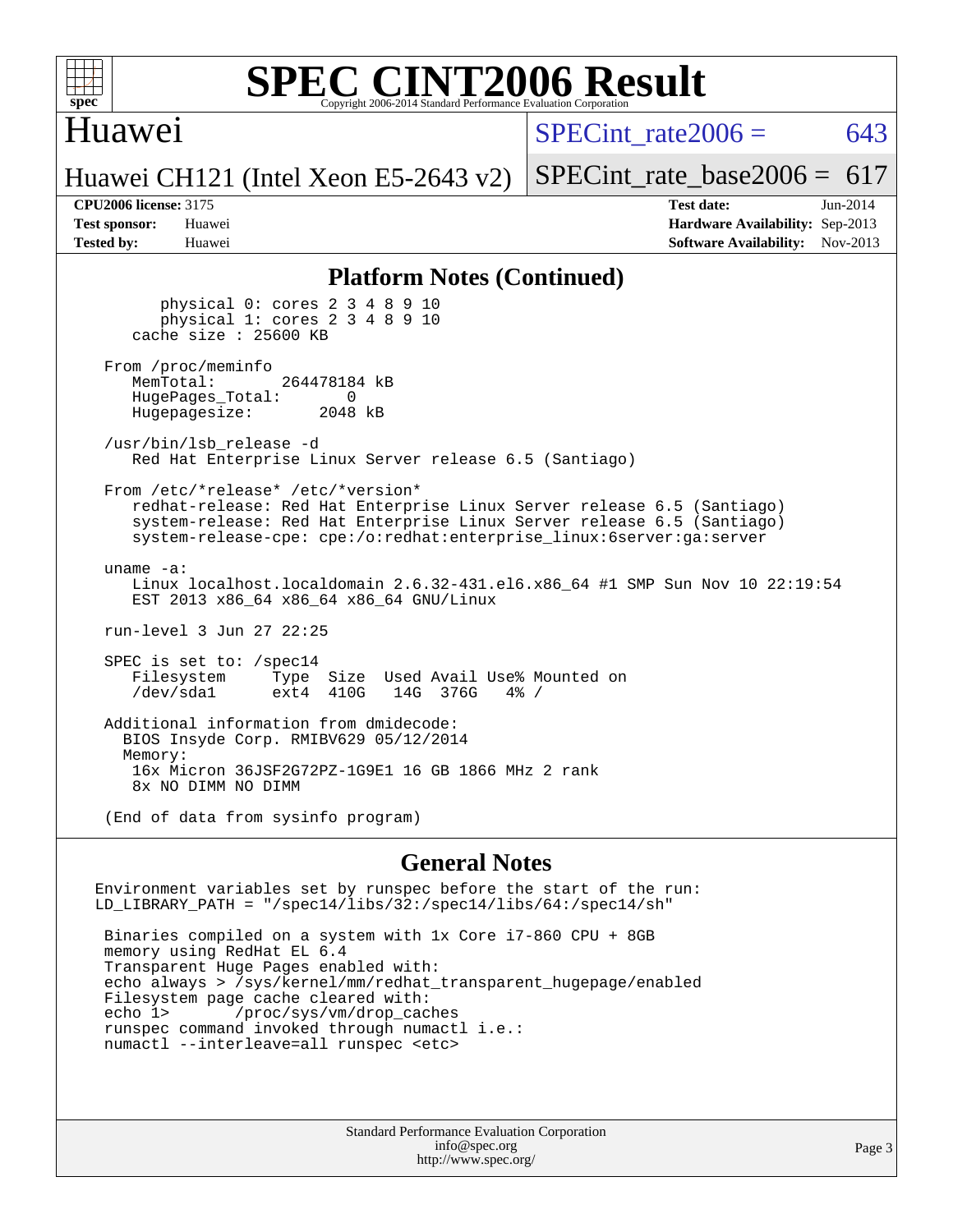

#### Huawei

SPECint rate $2006 = 643$ 

[SPECint\\_rate\\_base2006 =](http://www.spec.org/auto/cpu2006/Docs/result-fields.html#SPECintratebase2006)  $617$ 

Huawei CH121 (Intel Xeon E5-2643 v2)

**[CPU2006 license:](http://www.spec.org/auto/cpu2006/Docs/result-fields.html#CPU2006license)** 3175 **[Test date:](http://www.spec.org/auto/cpu2006/Docs/result-fields.html#Testdate)** Jun-2014 **[Test sponsor:](http://www.spec.org/auto/cpu2006/Docs/result-fields.html#Testsponsor)** Huawei **[Hardware Availability:](http://www.spec.org/auto/cpu2006/Docs/result-fields.html#HardwareAvailability)** Sep-2013 **[Tested by:](http://www.spec.org/auto/cpu2006/Docs/result-fields.html#Testedby)** Huawei **[Software Availability:](http://www.spec.org/auto/cpu2006/Docs/result-fields.html#SoftwareAvailability)** Nov-2013

#### **[Platform Notes \(Continued\)](http://www.spec.org/auto/cpu2006/Docs/result-fields.html#PlatformNotes)**

 physical 0: cores 2 3 4 8 9 10 physical 1: cores 2 3 4 8 9 10 cache size : 25600 KB From /proc/meminfo<br>MemTotal: 264478184 kB HugePages\_Total: 0<br>Hugepagesize: 2048 kB Hugepagesize: /usr/bin/lsb\_release -d Red Hat Enterprise Linux Server release 6.5 (Santiago) From /etc/\*release\* /etc/\*version\* redhat-release: Red Hat Enterprise Linux Server release 6.5 (Santiago) system-release: Red Hat Enterprise Linux Server release 6.5 (Santiago) system-release-cpe: cpe:/o:redhat:enterprise\_linux:6server:ga:server uname -a: Linux localhost.localdomain 2.6.32-431.el6.x86\_64 #1 SMP Sun Nov 10 22:19:54 EST 2013 x86\_64 x86\_64 x86\_64 GNU/Linux run-level 3 Jun 27 22:25 SPEC is set to: /spec14 Filesystem Type Size Used Avail Use% Mounted on<br>
/dev/sdal ext4 410G 14G 376G 4% /  $ext4 410G$  Additional information from dmidecode: BIOS Insyde Corp. RMIBV629 05/12/2014 Memory: 16x Micron 36JSF2G72PZ-1G9E1 16 GB 1866 MHz 2 rank 8x NO DIMM NO DIMM (End of data from sysinfo program)

#### **[General Notes](http://www.spec.org/auto/cpu2006/Docs/result-fields.html#GeneralNotes)**

Environment variables set by runspec before the start of the run: LD\_LIBRARY\_PATH = "/spec14/libs/32:/spec14/libs/64:/spec14/sh"

 Binaries compiled on a system with 1x Core i7-860 CPU + 8GB memory using RedHat EL 6.4 Transparent Huge Pages enabled with: echo always > /sys/kernel/mm/redhat\_transparent\_hugepage/enabled Filesystem page cache cleared with: echo 1> /proc/sys/vm/drop\_caches runspec command invoked through numactl i.e.: numactl --interleave=all runspec <etc>

> Standard Performance Evaluation Corporation [info@spec.org](mailto:info@spec.org) <http://www.spec.org/>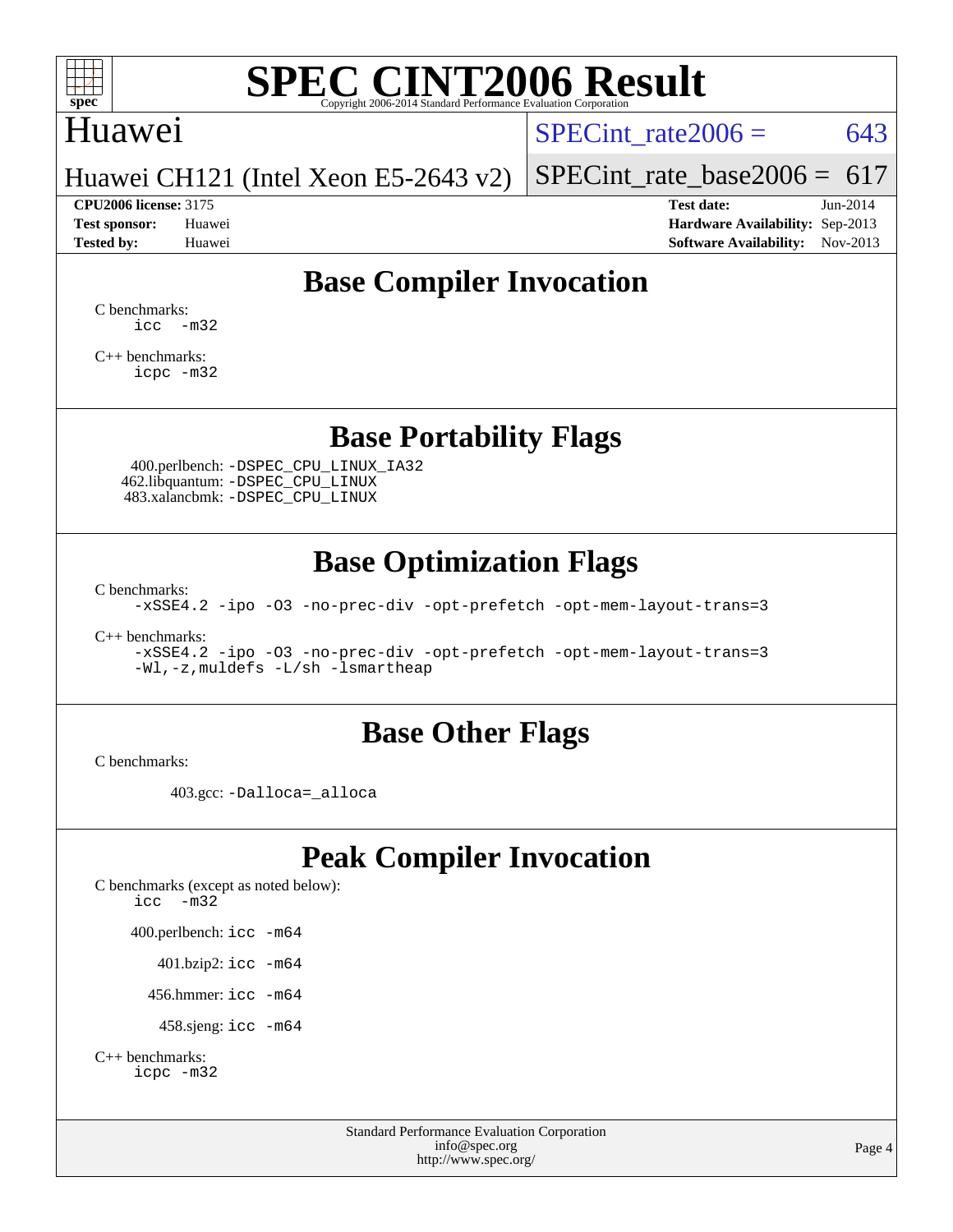

## Huawei

SPECint rate $2006 = 643$ 

Huawei CH121 (Intel Xeon E5-2643 v2)

[SPECint\\_rate\\_base2006 =](http://www.spec.org/auto/cpu2006/Docs/result-fields.html#SPECintratebase2006)  $617$ **[CPU2006 license:](http://www.spec.org/auto/cpu2006/Docs/result-fields.html#CPU2006license)** 3175 **[Test date:](http://www.spec.org/auto/cpu2006/Docs/result-fields.html#Testdate)** Jun-2014

**[Test sponsor:](http://www.spec.org/auto/cpu2006/Docs/result-fields.html#Testsponsor)** Huawei **[Hardware Availability:](http://www.spec.org/auto/cpu2006/Docs/result-fields.html#HardwareAvailability)** Sep-2013 **[Tested by:](http://www.spec.org/auto/cpu2006/Docs/result-fields.html#Testedby)** Huawei **[Software Availability:](http://www.spec.org/auto/cpu2006/Docs/result-fields.html#SoftwareAvailability)** Nov-2013

## **[Base Compiler Invocation](http://www.spec.org/auto/cpu2006/Docs/result-fields.html#BaseCompilerInvocation)**

[C benchmarks](http://www.spec.org/auto/cpu2006/Docs/result-fields.html#Cbenchmarks):  $\text{icc}$   $-\text{m32}$ 

[C++ benchmarks:](http://www.spec.org/auto/cpu2006/Docs/result-fields.html#CXXbenchmarks) [icpc -m32](http://www.spec.org/cpu2006/results/res2014q3/cpu2006-20140628-30074.flags.html#user_CXXbase_intel_icpc_4e5a5ef1a53fd332b3c49e69c3330699)

#### **[Base Portability Flags](http://www.spec.org/auto/cpu2006/Docs/result-fields.html#BasePortabilityFlags)**

 400.perlbench: [-DSPEC\\_CPU\\_LINUX\\_IA32](http://www.spec.org/cpu2006/results/res2014q3/cpu2006-20140628-30074.flags.html#b400.perlbench_baseCPORTABILITY_DSPEC_CPU_LINUX_IA32) 462.libquantum: [-DSPEC\\_CPU\\_LINUX](http://www.spec.org/cpu2006/results/res2014q3/cpu2006-20140628-30074.flags.html#b462.libquantum_baseCPORTABILITY_DSPEC_CPU_LINUX) 483.xalancbmk: [-DSPEC\\_CPU\\_LINUX](http://www.spec.org/cpu2006/results/res2014q3/cpu2006-20140628-30074.flags.html#b483.xalancbmk_baseCXXPORTABILITY_DSPEC_CPU_LINUX)

### **[Base Optimization Flags](http://www.spec.org/auto/cpu2006/Docs/result-fields.html#BaseOptimizationFlags)**

[C benchmarks](http://www.spec.org/auto/cpu2006/Docs/result-fields.html#Cbenchmarks):

[-xSSE4.2](http://www.spec.org/cpu2006/results/res2014q3/cpu2006-20140628-30074.flags.html#user_CCbase_f-xSSE42_f91528193cf0b216347adb8b939d4107) [-ipo](http://www.spec.org/cpu2006/results/res2014q3/cpu2006-20140628-30074.flags.html#user_CCbase_f-ipo) [-O3](http://www.spec.org/cpu2006/results/res2014q3/cpu2006-20140628-30074.flags.html#user_CCbase_f-O3) [-no-prec-div](http://www.spec.org/cpu2006/results/res2014q3/cpu2006-20140628-30074.flags.html#user_CCbase_f-no-prec-div) [-opt-prefetch](http://www.spec.org/cpu2006/results/res2014q3/cpu2006-20140628-30074.flags.html#user_CCbase_f-opt-prefetch) [-opt-mem-layout-trans=3](http://www.spec.org/cpu2006/results/res2014q3/cpu2006-20140628-30074.flags.html#user_CCbase_f-opt-mem-layout-trans_a7b82ad4bd7abf52556d4961a2ae94d5)

[C++ benchmarks:](http://www.spec.org/auto/cpu2006/Docs/result-fields.html#CXXbenchmarks)

[-xSSE4.2](http://www.spec.org/cpu2006/results/res2014q3/cpu2006-20140628-30074.flags.html#user_CXXbase_f-xSSE42_f91528193cf0b216347adb8b939d4107) [-ipo](http://www.spec.org/cpu2006/results/res2014q3/cpu2006-20140628-30074.flags.html#user_CXXbase_f-ipo) [-O3](http://www.spec.org/cpu2006/results/res2014q3/cpu2006-20140628-30074.flags.html#user_CXXbase_f-O3) [-no-prec-div](http://www.spec.org/cpu2006/results/res2014q3/cpu2006-20140628-30074.flags.html#user_CXXbase_f-no-prec-div) [-opt-prefetch](http://www.spec.org/cpu2006/results/res2014q3/cpu2006-20140628-30074.flags.html#user_CXXbase_f-opt-prefetch) [-opt-mem-layout-trans=3](http://www.spec.org/cpu2006/results/res2014q3/cpu2006-20140628-30074.flags.html#user_CXXbase_f-opt-mem-layout-trans_a7b82ad4bd7abf52556d4961a2ae94d5) [-Wl,-z,muldefs](http://www.spec.org/cpu2006/results/res2014q3/cpu2006-20140628-30074.flags.html#user_CXXbase_link_force_multiple1_74079c344b956b9658436fd1b6dd3a8a) [-L/sh -lsmartheap](http://www.spec.org/cpu2006/results/res2014q3/cpu2006-20140628-30074.flags.html#user_CXXbase_SmartHeap_32f6c82aa1ed9c52345d30cf6e4a0499)

#### **[Base Other Flags](http://www.spec.org/auto/cpu2006/Docs/result-fields.html#BaseOtherFlags)**

[C benchmarks](http://www.spec.org/auto/cpu2006/Docs/result-fields.html#Cbenchmarks):

403.gcc: [-Dalloca=\\_alloca](http://www.spec.org/cpu2006/results/res2014q3/cpu2006-20140628-30074.flags.html#b403.gcc_baseEXTRA_CFLAGS_Dalloca_be3056838c12de2578596ca5467af7f3)

## **[Peak Compiler Invocation](http://www.spec.org/auto/cpu2006/Docs/result-fields.html#PeakCompilerInvocation)**

[C benchmarks \(except as noted below\)](http://www.spec.org/auto/cpu2006/Docs/result-fields.html#Cbenchmarksexceptasnotedbelow): [icc -m32](http://www.spec.org/cpu2006/results/res2014q3/cpu2006-20140628-30074.flags.html#user_CCpeak_intel_icc_5ff4a39e364c98233615fdd38438c6f2) 400.perlbench: [icc -m64](http://www.spec.org/cpu2006/results/res2014q3/cpu2006-20140628-30074.flags.html#user_peakCCLD400_perlbench_intel_icc_64bit_bda6cc9af1fdbb0edc3795bac97ada53) 401.bzip2: [icc -m64](http://www.spec.org/cpu2006/results/res2014q3/cpu2006-20140628-30074.flags.html#user_peakCCLD401_bzip2_intel_icc_64bit_bda6cc9af1fdbb0edc3795bac97ada53)

456.hmmer: [icc -m64](http://www.spec.org/cpu2006/results/res2014q3/cpu2006-20140628-30074.flags.html#user_peakCCLD456_hmmer_intel_icc_64bit_bda6cc9af1fdbb0edc3795bac97ada53)

458.sjeng: [icc -m64](http://www.spec.org/cpu2006/results/res2014q3/cpu2006-20140628-30074.flags.html#user_peakCCLD458_sjeng_intel_icc_64bit_bda6cc9af1fdbb0edc3795bac97ada53)

```
C++ benchmarks: 
    icpc -m32
```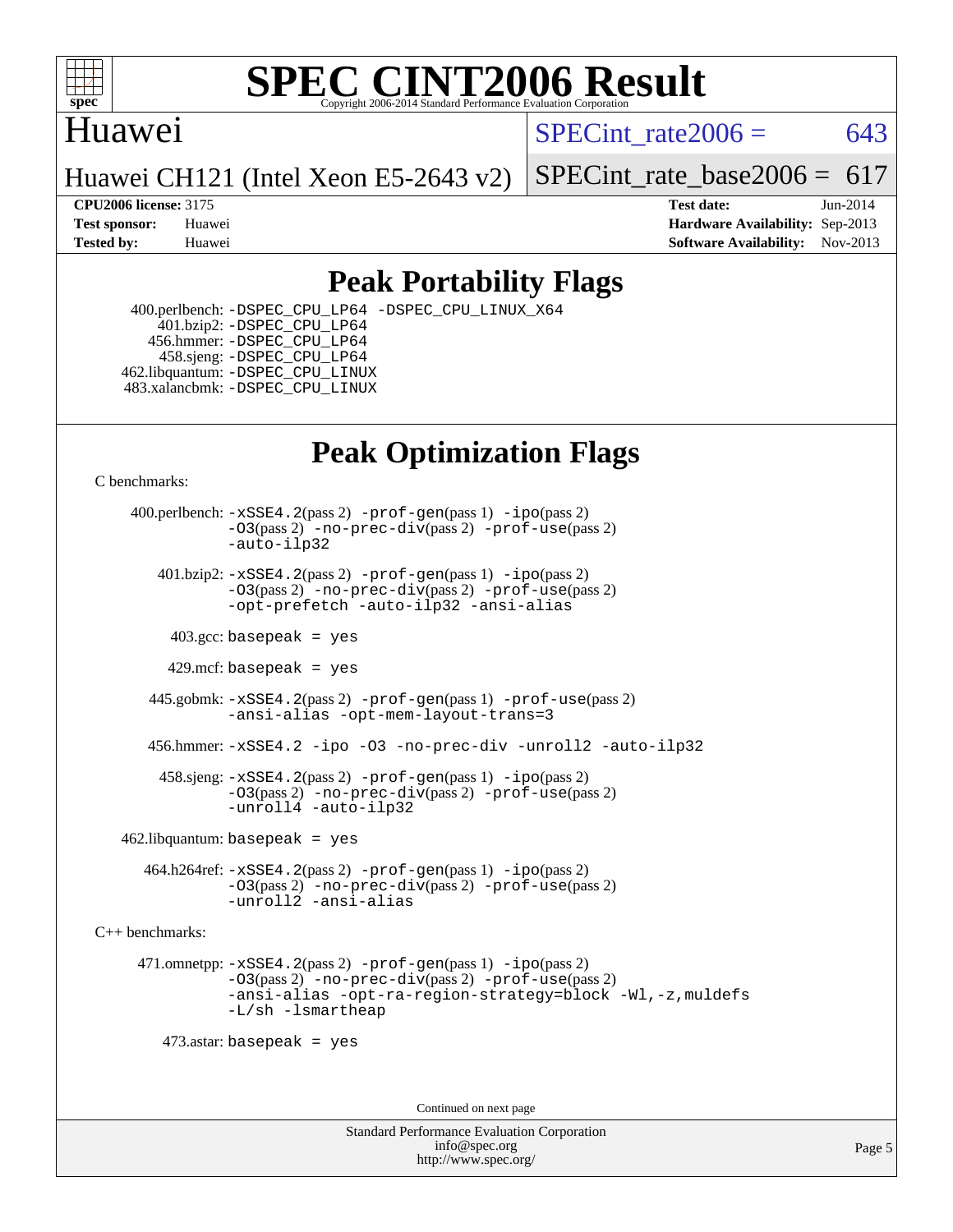

### Huawei

SPECint rate $2006 = 643$ 

Huawei CH121 (Intel Xeon E5-2643 v2)

SPECint rate base2006 =  $617$ 

**[CPU2006 license:](http://www.spec.org/auto/cpu2006/Docs/result-fields.html#CPU2006license)** 3175 **[Test date:](http://www.spec.org/auto/cpu2006/Docs/result-fields.html#Testdate)** Jun-2014 **[Test sponsor:](http://www.spec.org/auto/cpu2006/Docs/result-fields.html#Testsponsor)** Huawei **[Hardware Availability:](http://www.spec.org/auto/cpu2006/Docs/result-fields.html#HardwareAvailability)** Sep-2013 **[Tested by:](http://www.spec.org/auto/cpu2006/Docs/result-fields.html#Testedby)** Huawei **[Software Availability:](http://www.spec.org/auto/cpu2006/Docs/result-fields.html#SoftwareAvailability)** Nov-2013

## **[Peak Portability Flags](http://www.spec.org/auto/cpu2006/Docs/result-fields.html#PeakPortabilityFlags)**

 400.perlbench: [-DSPEC\\_CPU\\_LP64](http://www.spec.org/cpu2006/results/res2014q3/cpu2006-20140628-30074.flags.html#b400.perlbench_peakCPORTABILITY_DSPEC_CPU_LP64) [-DSPEC\\_CPU\\_LINUX\\_X64](http://www.spec.org/cpu2006/results/res2014q3/cpu2006-20140628-30074.flags.html#b400.perlbench_peakCPORTABILITY_DSPEC_CPU_LINUX_X64) 401.bzip2: [-DSPEC\\_CPU\\_LP64](http://www.spec.org/cpu2006/results/res2014q3/cpu2006-20140628-30074.flags.html#suite_peakCPORTABILITY401_bzip2_DSPEC_CPU_LP64) 456.hmmer: [-DSPEC\\_CPU\\_LP64](http://www.spec.org/cpu2006/results/res2014q3/cpu2006-20140628-30074.flags.html#suite_peakCPORTABILITY456_hmmer_DSPEC_CPU_LP64) 458.sjeng: [-DSPEC\\_CPU\\_LP64](http://www.spec.org/cpu2006/results/res2014q3/cpu2006-20140628-30074.flags.html#suite_peakCPORTABILITY458_sjeng_DSPEC_CPU_LP64) 462.libquantum: [-DSPEC\\_CPU\\_LINUX](http://www.spec.org/cpu2006/results/res2014q3/cpu2006-20140628-30074.flags.html#b462.libquantum_peakCPORTABILITY_DSPEC_CPU_LINUX) 483.xalancbmk: [-DSPEC\\_CPU\\_LINUX](http://www.spec.org/cpu2006/results/res2014q3/cpu2006-20140628-30074.flags.html#b483.xalancbmk_peakCXXPORTABILITY_DSPEC_CPU_LINUX)

# **[Peak Optimization Flags](http://www.spec.org/auto/cpu2006/Docs/result-fields.html#PeakOptimizationFlags)**

[C benchmarks](http://www.spec.org/auto/cpu2006/Docs/result-fields.html#Cbenchmarks):

 400.perlbench: [-xSSE4.2](http://www.spec.org/cpu2006/results/res2014q3/cpu2006-20140628-30074.flags.html#user_peakPASS2_CFLAGSPASS2_LDCFLAGS400_perlbench_f-xSSE42_f91528193cf0b216347adb8b939d4107)(pass 2) [-prof-gen](http://www.spec.org/cpu2006/results/res2014q3/cpu2006-20140628-30074.flags.html#user_peakPASS1_CFLAGSPASS1_LDCFLAGS400_perlbench_prof_gen_e43856698f6ca7b7e442dfd80e94a8fc)(pass 1) [-ipo](http://www.spec.org/cpu2006/results/res2014q3/cpu2006-20140628-30074.flags.html#user_peakPASS2_CFLAGSPASS2_LDCFLAGS400_perlbench_f-ipo)(pass 2) [-O3](http://www.spec.org/cpu2006/results/res2014q3/cpu2006-20140628-30074.flags.html#user_peakPASS2_CFLAGSPASS2_LDCFLAGS400_perlbench_f-O3)(pass 2) [-no-prec-div](http://www.spec.org/cpu2006/results/res2014q3/cpu2006-20140628-30074.flags.html#user_peakPASS2_CFLAGSPASS2_LDCFLAGS400_perlbench_f-no-prec-div)(pass 2) [-prof-use](http://www.spec.org/cpu2006/results/res2014q3/cpu2006-20140628-30074.flags.html#user_peakPASS2_CFLAGSPASS2_LDCFLAGS400_perlbench_prof_use_bccf7792157ff70d64e32fe3e1250b55)(pass 2) [-auto-ilp32](http://www.spec.org/cpu2006/results/res2014q3/cpu2006-20140628-30074.flags.html#user_peakCOPTIMIZE400_perlbench_f-auto-ilp32)  $401.bzip2: -xSSE4.2(pass 2) -prof-qen(pass 1) -ipo(pass 2)$  $401.bzip2: -xSSE4.2(pass 2) -prof-qen(pass 1) -ipo(pass 2)$  $401.bzip2: -xSSE4.2(pass 2) -prof-qen(pass 1) -ipo(pass 2)$  $401.bzip2: -xSSE4.2(pass 2) -prof-qen(pass 1) -ipo(pass 2)$  $401.bzip2: -xSSE4.2(pass 2) -prof-qen(pass 1) -ipo(pass 2)$ [-O3](http://www.spec.org/cpu2006/results/res2014q3/cpu2006-20140628-30074.flags.html#user_peakPASS2_CFLAGSPASS2_LDCFLAGS401_bzip2_f-O3)(pass 2) [-no-prec-div](http://www.spec.org/cpu2006/results/res2014q3/cpu2006-20140628-30074.flags.html#user_peakPASS2_CFLAGSPASS2_LDCFLAGS401_bzip2_f-no-prec-div)(pass 2) [-prof-use](http://www.spec.org/cpu2006/results/res2014q3/cpu2006-20140628-30074.flags.html#user_peakPASS2_CFLAGSPASS2_LDCFLAGS401_bzip2_prof_use_bccf7792157ff70d64e32fe3e1250b55)(pass 2) [-opt-prefetch](http://www.spec.org/cpu2006/results/res2014q3/cpu2006-20140628-30074.flags.html#user_peakCOPTIMIZE401_bzip2_f-opt-prefetch) [-auto-ilp32](http://www.spec.org/cpu2006/results/res2014q3/cpu2006-20140628-30074.flags.html#user_peakCOPTIMIZE401_bzip2_f-auto-ilp32) [-ansi-alias](http://www.spec.org/cpu2006/results/res2014q3/cpu2006-20140628-30074.flags.html#user_peakCOPTIMIZE401_bzip2_f-ansi-alias)  $403.\text{sec: basepeak}$  = yes 429.mcf: basepeak = yes 445.gobmk: [-xSSE4.2](http://www.spec.org/cpu2006/results/res2014q3/cpu2006-20140628-30074.flags.html#user_peakPASS2_CFLAGSPASS2_LDCFLAGS445_gobmk_f-xSSE42_f91528193cf0b216347adb8b939d4107)(pass 2) [-prof-gen](http://www.spec.org/cpu2006/results/res2014q3/cpu2006-20140628-30074.flags.html#user_peakPASS1_CFLAGSPASS1_LDCFLAGS445_gobmk_prof_gen_e43856698f6ca7b7e442dfd80e94a8fc)(pass 1) [-prof-use](http://www.spec.org/cpu2006/results/res2014q3/cpu2006-20140628-30074.flags.html#user_peakPASS2_CFLAGSPASS2_LDCFLAGS445_gobmk_prof_use_bccf7792157ff70d64e32fe3e1250b55)(pass 2) [-ansi-alias](http://www.spec.org/cpu2006/results/res2014q3/cpu2006-20140628-30074.flags.html#user_peakCOPTIMIZE445_gobmk_f-ansi-alias) [-opt-mem-layout-trans=3](http://www.spec.org/cpu2006/results/res2014q3/cpu2006-20140628-30074.flags.html#user_peakCOPTIMIZE445_gobmk_f-opt-mem-layout-trans_a7b82ad4bd7abf52556d4961a2ae94d5) 456.hmmer: [-xSSE4.2](http://www.spec.org/cpu2006/results/res2014q3/cpu2006-20140628-30074.flags.html#user_peakCOPTIMIZE456_hmmer_f-xSSE42_f91528193cf0b216347adb8b939d4107) [-ipo](http://www.spec.org/cpu2006/results/res2014q3/cpu2006-20140628-30074.flags.html#user_peakCOPTIMIZE456_hmmer_f-ipo) [-O3](http://www.spec.org/cpu2006/results/res2014q3/cpu2006-20140628-30074.flags.html#user_peakCOPTIMIZE456_hmmer_f-O3) [-no-prec-div](http://www.spec.org/cpu2006/results/res2014q3/cpu2006-20140628-30074.flags.html#user_peakCOPTIMIZE456_hmmer_f-no-prec-div) [-unroll2](http://www.spec.org/cpu2006/results/res2014q3/cpu2006-20140628-30074.flags.html#user_peakCOPTIMIZE456_hmmer_f-unroll_784dae83bebfb236979b41d2422d7ec2) [-auto-ilp32](http://www.spec.org/cpu2006/results/res2014q3/cpu2006-20140628-30074.flags.html#user_peakCOPTIMIZE456_hmmer_f-auto-ilp32) 458.sjeng: [-xSSE4.2](http://www.spec.org/cpu2006/results/res2014q3/cpu2006-20140628-30074.flags.html#user_peakPASS2_CFLAGSPASS2_LDCFLAGS458_sjeng_f-xSSE42_f91528193cf0b216347adb8b939d4107)(pass 2) [-prof-gen](http://www.spec.org/cpu2006/results/res2014q3/cpu2006-20140628-30074.flags.html#user_peakPASS1_CFLAGSPASS1_LDCFLAGS458_sjeng_prof_gen_e43856698f6ca7b7e442dfd80e94a8fc)(pass 1) [-ipo](http://www.spec.org/cpu2006/results/res2014q3/cpu2006-20140628-30074.flags.html#user_peakPASS2_CFLAGSPASS2_LDCFLAGS458_sjeng_f-ipo)(pass 2) [-O3](http://www.spec.org/cpu2006/results/res2014q3/cpu2006-20140628-30074.flags.html#user_peakPASS2_CFLAGSPASS2_LDCFLAGS458_sjeng_f-O3)(pass 2) [-no-prec-div](http://www.spec.org/cpu2006/results/res2014q3/cpu2006-20140628-30074.flags.html#user_peakPASS2_CFLAGSPASS2_LDCFLAGS458_sjeng_f-no-prec-div)(pass 2) [-prof-use](http://www.spec.org/cpu2006/results/res2014q3/cpu2006-20140628-30074.flags.html#user_peakPASS2_CFLAGSPASS2_LDCFLAGS458_sjeng_prof_use_bccf7792157ff70d64e32fe3e1250b55)(pass 2) [-unroll4](http://www.spec.org/cpu2006/results/res2014q3/cpu2006-20140628-30074.flags.html#user_peakCOPTIMIZE458_sjeng_f-unroll_4e5e4ed65b7fd20bdcd365bec371b81f) [-auto-ilp32](http://www.spec.org/cpu2006/results/res2014q3/cpu2006-20140628-30074.flags.html#user_peakCOPTIMIZE458_sjeng_f-auto-ilp32)  $462$ .libquantum: basepeak = yes 464.h264ref: [-xSSE4.2](http://www.spec.org/cpu2006/results/res2014q3/cpu2006-20140628-30074.flags.html#user_peakPASS2_CFLAGSPASS2_LDCFLAGS464_h264ref_f-xSSE42_f91528193cf0b216347adb8b939d4107)(pass 2) [-prof-gen](http://www.spec.org/cpu2006/results/res2014q3/cpu2006-20140628-30074.flags.html#user_peakPASS1_CFLAGSPASS1_LDCFLAGS464_h264ref_prof_gen_e43856698f6ca7b7e442dfd80e94a8fc)(pass 1) [-ipo](http://www.spec.org/cpu2006/results/res2014q3/cpu2006-20140628-30074.flags.html#user_peakPASS2_CFLAGSPASS2_LDCFLAGS464_h264ref_f-ipo)(pass 2) [-O3](http://www.spec.org/cpu2006/results/res2014q3/cpu2006-20140628-30074.flags.html#user_peakPASS2_CFLAGSPASS2_LDCFLAGS464_h264ref_f-O3)(pass 2) [-no-prec-div](http://www.spec.org/cpu2006/results/res2014q3/cpu2006-20140628-30074.flags.html#user_peakPASS2_CFLAGSPASS2_LDCFLAGS464_h264ref_f-no-prec-div)(pass 2) [-prof-use](http://www.spec.org/cpu2006/results/res2014q3/cpu2006-20140628-30074.flags.html#user_peakPASS2_CFLAGSPASS2_LDCFLAGS464_h264ref_prof_use_bccf7792157ff70d64e32fe3e1250b55)(pass 2) [-unroll2](http://www.spec.org/cpu2006/results/res2014q3/cpu2006-20140628-30074.flags.html#user_peakCOPTIMIZE464_h264ref_f-unroll_784dae83bebfb236979b41d2422d7ec2) [-ansi-alias](http://www.spec.org/cpu2006/results/res2014q3/cpu2006-20140628-30074.flags.html#user_peakCOPTIMIZE464_h264ref_f-ansi-alias)

[C++ benchmarks:](http://www.spec.org/auto/cpu2006/Docs/result-fields.html#CXXbenchmarks)

 471.omnetpp: [-xSSE4.2](http://www.spec.org/cpu2006/results/res2014q3/cpu2006-20140628-30074.flags.html#user_peakPASS2_CXXFLAGSPASS2_LDCXXFLAGS471_omnetpp_f-xSSE42_f91528193cf0b216347adb8b939d4107)(pass 2) [-prof-gen](http://www.spec.org/cpu2006/results/res2014q3/cpu2006-20140628-30074.flags.html#user_peakPASS1_CXXFLAGSPASS1_LDCXXFLAGS471_omnetpp_prof_gen_e43856698f6ca7b7e442dfd80e94a8fc)(pass 1) [-ipo](http://www.spec.org/cpu2006/results/res2014q3/cpu2006-20140628-30074.flags.html#user_peakPASS2_CXXFLAGSPASS2_LDCXXFLAGS471_omnetpp_f-ipo)(pass 2) [-O3](http://www.spec.org/cpu2006/results/res2014q3/cpu2006-20140628-30074.flags.html#user_peakPASS2_CXXFLAGSPASS2_LDCXXFLAGS471_omnetpp_f-O3)(pass 2) [-no-prec-div](http://www.spec.org/cpu2006/results/res2014q3/cpu2006-20140628-30074.flags.html#user_peakPASS2_CXXFLAGSPASS2_LDCXXFLAGS471_omnetpp_f-no-prec-div)(pass 2) [-prof-use](http://www.spec.org/cpu2006/results/res2014q3/cpu2006-20140628-30074.flags.html#user_peakPASS2_CXXFLAGSPASS2_LDCXXFLAGS471_omnetpp_prof_use_bccf7792157ff70d64e32fe3e1250b55)(pass 2) [-ansi-alias](http://www.spec.org/cpu2006/results/res2014q3/cpu2006-20140628-30074.flags.html#user_peakCXXOPTIMIZE471_omnetpp_f-ansi-alias) [-opt-ra-region-strategy=block](http://www.spec.org/cpu2006/results/res2014q3/cpu2006-20140628-30074.flags.html#user_peakCXXOPTIMIZE471_omnetpp_f-opt-ra-region-strategy_a0a37c372d03933b2a18d4af463c1f69) [-Wl,-z,muldefs](http://www.spec.org/cpu2006/results/res2014q3/cpu2006-20140628-30074.flags.html#user_peakEXTRA_LDFLAGS471_omnetpp_link_force_multiple1_74079c344b956b9658436fd1b6dd3a8a) [-L/sh -lsmartheap](http://www.spec.org/cpu2006/results/res2014q3/cpu2006-20140628-30074.flags.html#user_peakEXTRA_LIBS471_omnetpp_SmartHeap_32f6c82aa1ed9c52345d30cf6e4a0499)

473.astar: basepeak = yes

Continued on next page

Standard Performance Evaluation Corporation [info@spec.org](mailto:info@spec.org) <http://www.spec.org/>